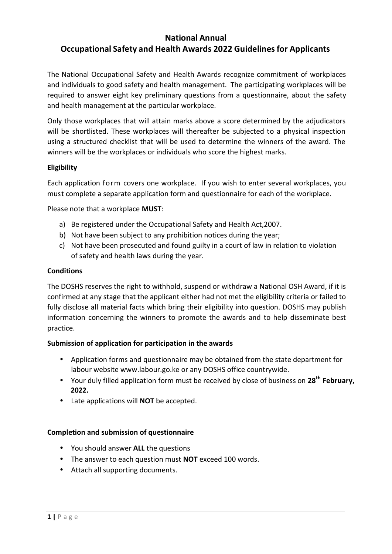# **National Annual Occupational Safety and Health Awards 2022 Guidelinesfor Applicants**

The National Occupational Safety and Health Awards recognize commitment of workplaces and individuals to good safety and health management. The participating workplaces will be required to answer eight key preliminary questions from a questionnaire, about the safety and health management at the particular workplace.

Only those workplaces that will attain marks above a score determined by the adjudicators will be shortlisted. These workplaces will thereafter be subjected to a physical inspection using a structured checklist that will be used to determine the winners of the award. The winners will be the workplaces or individuals who score the highest marks.

# **Eligibility**

Each application form covers one workplace. If you wish to enter several workplaces, you must complete a separate application form and questionnaire for each of the workplace.

Please note that a workplace **MUST**:

- a) Be registered under the Occupational Safety and Health Act,2007.
- b) Not have been subject to any prohibition notices during the year;
- c) Not have been prosecuted and found guilty in a court of law in relation to violation of safety and health laws during the year.

# **Conditions**

The DOSHS reserves the right to withhold, suspend or withdraw a National OSH Award, if it is confirmed at any stage that the applicant either had not met the eligibility criteria or failed to fully disclose all material facts which bring their eligibility into question. DOSHS may publish information concerning the winners to promote the awards and to help disseminate best practice.

# **Submission of application for participation in the awards**

- Application forms and questionnaire may be obtained from the state department for labour website www.labour.go.ke or any DOSHS office countrywide.
- Your duly filled application form must be received by close of business on **28 th February, 2022.**
- Late applications will **NOT** be accepted.

# **Completion and submission of questionnaire**

- You should answer **ALL** the questions
- The answer to each question must **NOT** exceed 100 words.
- Attach all supporting documents.